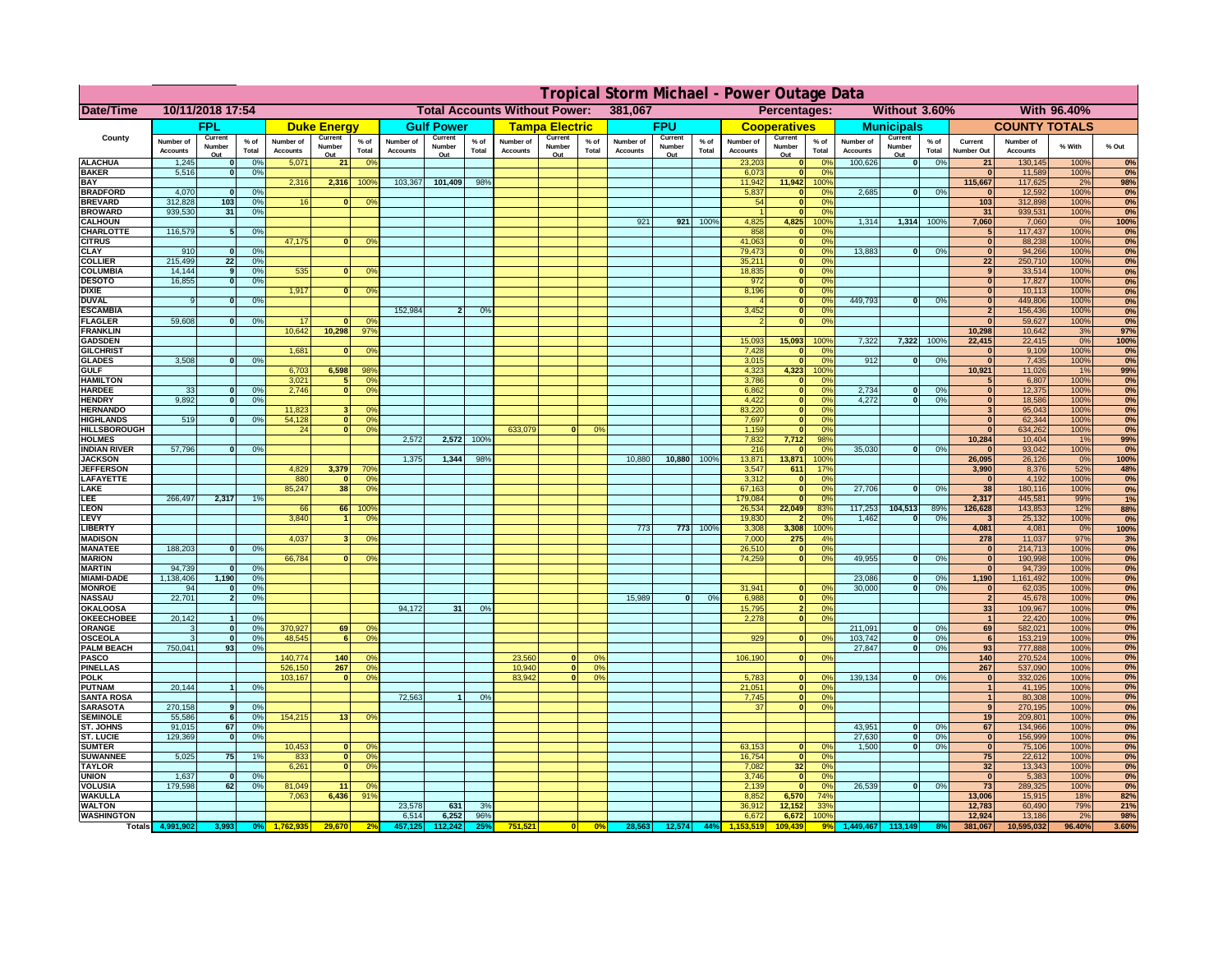|                                      | Tropical Storm Michael - Power Outage Data |                          |                    |                       |                          |                                                 |                              |                          |                 |                              |                               |                      |                              |                          |                 |                              |                                |                         |                              |                          |                 |                                     |                              |              |                    |
|--------------------------------------|--------------------------------------------|--------------------------|--------------------|-----------------------|--------------------------|-------------------------------------------------|------------------------------|--------------------------|-----------------|------------------------------|-------------------------------|----------------------|------------------------------|--------------------------|-----------------|------------------------------|--------------------------------|-------------------------|------------------------------|--------------------------|-----------------|-------------------------------------|------------------------------|--------------|--------------------|
| Date/Time                            | 10/11/2018 17:54                           |                          |                    |                       |                          | <b>Total Accounts Without Power:</b><br>381,067 |                              |                          |                 |                              | Without 3.60%<br>Percentages: |                      |                              |                          |                 |                              | With 96.40%                    |                         |                              |                          |                 |                                     |                              |              |                    |
|                                      | <b>FPL</b>                                 |                          | <b>Duke Energy</b> |                       | <b>Gulf Power</b>        |                                                 | <b>Tampa Electric</b>        |                          | <b>FPU</b>      |                              | <b>Cooperatives</b>           |                      | <b>Municipals</b>            |                          |                 | <b>COUNTY TOTALS</b>         |                                |                         |                              |                          |                 |                                     |                              |              |                    |
| County                               | Number of<br><b>Accounts</b>               | Current<br>Number<br>Out | $%$ of<br>Total    | Number of<br>Accounts | Current<br>Number<br>Out | $%$ of<br>Total                                 | Number of<br><b>Accounts</b> | Current<br>Number<br>Out | $%$ of<br>Total | Number of<br><b>Accounts</b> | Current<br>Number<br>Out      | % of<br>Total        | Number of<br><b>Accounts</b> | Current<br>Number<br>Out | $%$ of<br>Total | Number of<br><b>Accounts</b> | Current<br>Number<br>Out       | $%$ of<br>Total         | Number of<br><b>Accounts</b> | Current<br>Number<br>Out | $%$ of<br>Total | Current<br>Number Out               | Number of<br><b>Accounts</b> | % With       | % Out              |
| <b>ALACHUA</b>                       | 1,245                                      | $\mathbf 0$              | 0%                 | 5,071                 | 21                       | 0 <sup>o</sup>                                  |                              |                          |                 |                              |                               |                      |                              |                          |                 | 23,203                       |                                | 0 <sup>9</sup>          | 100,626                      | 0                        | 0%              | 21                                  | 130,145                      | 100%         | 0%                 |
| <b>BAKER</b><br><b>BAY</b>           | 5,516                                      | $\mathbf 0$              | 0%                 | 2,316                 | 2,316                    | 100%                                            | 103,367                      | 101,409                  | 98 <sup>°</sup> |                              |                               |                      |                              |                          |                 | 6,073<br>11,942              | 11,942                         | 0 <sup>9</sup><br>100°  |                              |                          |                 | $\mathbf{0}$<br>115,667             | 11,589<br>117,625            | 100%<br>2%   | 0%<br>98%          |
| <b>BRADFORD</b>                      | 4,070                                      | $\mathbf{0}$             | 0%                 |                       |                          |                                                 |                              |                          |                 |                              |                               |                      |                              |                          |                 | 5,837                        |                                | $\Omega$ <sup>c</sup>   | 2,685                        | 0                        | 0%              |                                     | 12,592                       | 100%         | 0%                 |
| <b>BREVARD</b>                       | 312,828                                    | 103                      | 0%                 | 16                    |                          | 0 <sup>9</sup>                                  |                              |                          |                 |                              |                               |                      |                              |                          |                 | 54                           | $\mathbf{0}$                   | 0 <sup>9</sup>          |                              |                          |                 | $\overline{103}$                    | 312,898                      | 100%         | 0%                 |
| <b>BROWARD</b>                       | 939,530                                    | 31                       | 0%                 |                       |                          |                                                 |                              |                          |                 |                              |                               |                      |                              |                          |                 |                              |                                | 0 <sup>9</sup>          |                              |                          |                 | 31                                  | 939,531                      | 100%         | 0%                 |
| <b>CALHOUN</b><br>CHARLOTTE          | 116,579                                    | -5                       | 0%                 |                       |                          |                                                 |                              |                          |                 |                              |                               |                      | 921                          | 921                      | 100%            | 4,825<br>858                 | 4,825<br>$\mathbf{0}$          | 100%<br>0 <sup>9</sup>  | 1,314                        | 1,314 100%               |                 | 7,060<br>5                          | 7,060<br>117,437             | 0%<br>100%   | 100%<br>0%         |
| <b>CITRUS</b>                        |                                            |                          |                    | 47,175                | $\Omega$                 | 0 <sup>9</sup>                                  |                              |                          |                 |                              |                               |                      |                              |                          |                 | 41,063                       | $\mathbf{0}$                   | 0 <sup>9</sup>          |                              |                          |                 | $\mathbf{0}$                        | 88,238                       | 100%         | 0%                 |
| <b>CLAY</b>                          | 910                                        | $\Omega$                 | 0%                 |                       |                          |                                                 |                              |                          |                 |                              |                               |                      |                              |                          |                 | 79,473                       | $\mathbf{0}$                   | 0%                      | 13,883                       | 0                        | 0%              | $\overline{0}$                      | 94,266                       | 100%         | 0%                 |
| <b>COLLIER</b>                       | 215,499<br>14,144                          | 22                       | 0%                 | 535                   |                          |                                                 |                              |                          |                 |                              |                               |                      |                              |                          |                 | 35,211<br>18,835             | $\mathbf{0}$<br>$\mathbf{0}$   | 0%<br>0%                |                              |                          |                 | 22<br>$\overline{9}$                | 250,710<br>33,514            | 100%<br>100% | 0%<br>0%           |
| <b>COLUMBIA</b><br><b>DESOTO</b>     | 16,855                                     | 9<br> 0                  | 0%<br>0%           |                       |                          | 0 <sup>9</sup>                                  |                              |                          |                 |                              |                               |                      |                              |                          |                 | 972                          | $\mathbf{0}$                   | 0%                      |                              |                          |                 | $\overline{0}$                      | 17,827                       | 100%         | 0%                 |
| <b>DIXIE</b>                         |                                            |                          |                    | 1,917                 | $\Omega$                 | 0 <sup>9</sup>                                  |                              |                          |                 |                              |                               |                      |                              |                          |                 | 8,196                        | $\overline{\phantom{a}}$       | 0%                      |                              |                          |                 | $\overline{0}$                      | 10,113                       | 100%         | 0%                 |
| <b>DUVAL</b>                         | 9                                          | 0                        | 0%                 |                       |                          |                                                 |                              |                          |                 |                              |                               |                      |                              |                          |                 |                              | $\overline{\mathbf{0}}$        | 0%                      | 449.793                      | 0                        | 0%              | $\overline{0}$                      | 449,806                      | 100%         | 0%                 |
| <b>ESCAMBIA</b><br><b>FLAGLER</b>    | 59.608                                     | $\Omega$                 |                    | 17                    | $\Omega$                 | nº                                              | 152.984                      | $\overline{2}$           | O <sup>o</sup>  |                              |                               |                      |                              |                          |                 | 3,452                        | ō<br>$\overline{\mathbf{0}}$   | 0%<br>0%                |                              |                          |                 | $\overline{2}$<br>$\overline{0}$    | 156,436<br>59,627            | 100%<br>100% | 0%<br>0%           |
| <b>FRANKLIN</b>                      |                                            |                          | 0%                 | 10.642                | 10.298                   | 97%                                             |                              |                          |                 |                              |                               |                      |                              |                          |                 |                              |                                |                         |                              |                          |                 | 10,298                              | 10,642                       | 3%           | 97%                |
| <b>GADSDEN</b>                       |                                            |                          |                    |                       |                          |                                                 |                              |                          |                 |                              |                               |                      |                              |                          |                 | 15,093                       | 15,093                         | 100%                    | 7.322                        | 7,322 100%               |                 | 22,415                              | 22,415                       | 0%           | 100%               |
| <b>GILCHRIST</b>                     |                                            |                          |                    | 1,681                 |                          | 0 <sup>9</sup>                                  |                              |                          |                 |                              |                               |                      |                              |                          |                 | 7,428                        |                                | 0 <sup>9</sup>          |                              |                          |                 | $\bf{0}$                            | 9,109                        | 100%         | 0%                 |
| <b>GLADES</b><br><b>GULF</b>         | 3,508                                      | $\mathbf{0}$             | 0%                 |                       | 6,598                    | 98%                                             |                              |                          |                 |                              |                               |                      |                              |                          |                 | 3,015<br>4,323               | $\sqrt{ }$<br>4,323            | 0 <sup>9</sup>          | 912                          | $\bf{0}$                 | 0%              | $\mathbf{0}$<br>10,921              | 7,435                        | 100%<br>1%   | 0%<br>99%          |
| <b>HAMILTON</b>                      |                                            |                          |                    | 6,703<br>3,021        | 5 <sup>1</sup>           | 0 <sup>9</sup>                                  |                              |                          |                 |                              |                               |                      |                              |                          |                 | 3,786                        | $\mathbf{0}$                   | 100%<br>0%              |                              |                          |                 | 5                                   | 11,026<br>6,807              | 100%         | 0%                 |
| <b>HARDEE</b>                        | 33                                         | $\bf{0}$                 | 0%                 | 2,746                 | $\overline{0}$           | 0 <sup>9</sup>                                  |                              |                          |                 |                              |                               |                      |                              |                          |                 | 6,862                        | $\mathbf{0}$                   | 0 <sup>9</sup>          | 2,734                        | $\mathbf{0}$             | 0%              | $\mathbf{0}$                        | 12,375                       | 100%         | 0%                 |
| <b>HENDRY</b>                        | 9.892                                      | 0                        | 0%                 |                       |                          |                                                 |                              |                          |                 |                              |                               |                      |                              |                          |                 | 4,422                        | $\overline{\phantom{a}}$       | 0%                      | 4,272                        | $\overline{0}$           | 0%              | 0                                   | 18,586                       | 100%         | 0%                 |
| <b>HERNANDO</b><br><b>HIGHLANDS</b>  | 519                                        | $\Omega$                 | 0%                 | 11,823<br>54,128      | 3<br>$\overline{0}$      | 0 <sup>9</sup><br>0 <sup>9</sup>                |                              |                          |                 |                              |                               |                      |                              |                          |                 | 83,220<br>7,697              | $\mathbf{0}$<br>$\overline{0}$ | 0%<br>0%                |                              |                          |                 | $\overline{\mathbf{3}}$<br>$\bf{0}$ | 95,043<br>62,344             | 100%<br>100% | 0%<br>0%           |
| <b>HILLSBOROUGH</b>                  |                                            |                          |                    | 24                    | 0                        | 0%                                              |                              |                          |                 | 633,079                      | $\Omega$                      | 0 <sup>o</sup>       |                              |                          |                 | 1,159                        | $\mathbf{0}$                   | 0%                      |                              |                          |                 | $\mathbf{0}$                        | 634,262                      | 100%         | 0%                 |
| <b>HOLMES</b>                        |                                            |                          |                    |                       |                          |                                                 | 2,572                        | 2,572                    | 100%            |                              |                               |                      |                              |                          |                 | 7,832                        | 7,712                          | 98%                     |                              |                          |                 | 10,284                              | 10,404                       | 1%           | 99%                |
| <b>INDIAN RIVER</b>                  | 57,796                                     | $\Omega$                 | 0%                 |                       |                          |                                                 |                              |                          |                 |                              |                               |                      |                              |                          |                 | 216                          |                                | $^{\circ}$              | 35,030                       | $\Omega$                 | 0%              | $\bf{0}$                            | 93,042                       | 100%         | 0%                 |
| <b>JACKSON</b><br><b>JEFFERSON</b>   |                                            |                          |                    | 4,829                 | 3,379                    | 70%                                             | 1,375                        | 1,344                    | 98%             |                              |                               |                      | 10,880                       | 10,880                   | 100%            | 13,871<br>3,547              | 13,871<br>611                  | 100%<br>17%             |                              |                          |                 | 26,095<br>3,990                     | 26,126<br>8,376              | 0%<br>52%    | 100%<br><b>48%</b> |
| LAFAYETTE                            |                                            |                          |                    | 880                   | $\mathbf{0}$             | 0 <sup>o</sup>                                  |                              |                          |                 |                              |                               |                      |                              |                          |                 | 3,312                        |                                | 0 <sup>9</sup>          |                              |                          |                 | $\mathbf{0}$                        | 4,192                        | 100%         | 0%                 |
| LAKE                                 |                                            |                          |                    | 85,247                | 38                       | 0 <sup>9</sup>                                  |                              |                          |                 |                              |                               |                      |                              |                          |                 | 67,163                       | $\mathbf{0}$                   | 0 <sup>9</sup>          | 27,706                       | $\Omega$                 | 0%              | 38                                  | 180,116                      | 100%         | 0%                 |
| <b>LEE</b>                           | 266,497                                    | 2,317                    | 1%                 |                       |                          |                                                 |                              |                          |                 |                              |                               |                      |                              |                          |                 | 179,084                      | $\mathbf{0}$                   | 0 <sup>9</sup>          |                              |                          |                 | 2,317                               | 445,581                      | 99%          | 1%                 |
| <b>LEON</b><br><b>LEVY</b>           |                                            |                          |                    | 66<br>3,840           | $\blacksquare$           | 66 1009<br>0°                                   |                              |                          |                 |                              |                               |                      |                              |                          |                 | 26,534<br>19,830             | 22,049                         | 83%<br>no               | 117,253<br>1,462             | 104,513<br>$\Omega$      | 89%<br>0%       | 126,628<br>$\mathbf{3}$             | 143,853<br>25,132            | 12%<br>100%  | 88%<br>0%          |
| <b>LIBERTY</b>                       |                                            |                          |                    |                       |                          |                                                 |                              |                          |                 |                              |                               |                      | 773                          | 773                      | 100%            | 3,308                        | 3,308                          | 100%                    |                              |                          |                 | 4,081                               | 4,081                        | 0%           | 100%               |
| <b>MADISON</b>                       |                                            |                          |                    | 4,037                 |                          | 0 <sup>9</sup>                                  |                              |                          |                 |                              |                               |                      |                              |                          |                 | 7,000                        | 275                            | 4%                      |                              |                          |                 | 278                                 | 11,037                       | 97%          | 3%                 |
| <b>MANATEE</b>                       | 188,203                                    | $\Omega$                 | 0%                 |                       |                          |                                                 |                              |                          |                 |                              |                               |                      |                              |                          |                 | 26,510                       | $\mathbf{0}$                   | 0%                      |                              |                          |                 | $\mathbf{0}$                        | 214,713                      | 100%         | 0%                 |
| <b>MARION</b><br><b>MARTIN</b>       | 94,739                                     | $\Omega$                 | 0 <sup>9</sup>     | 66,784                |                          | 0 <sup>9</sup>                                  |                              |                          |                 |                              |                               |                      |                              |                          |                 | 74,259                       | 0                              | 0%                      | 49,955                       | 0                        | 0%              | 0 <br> 0                            | 190,998<br>94,739            | 100%<br>100% | 0%<br>0%           |
| <b>MIAMI-DADE</b>                    | 1,138,406                                  | 1,190                    | 0%                 |                       |                          |                                                 |                              |                          |                 |                              |                               |                      |                              |                          |                 |                              |                                |                         | 23,086                       | 0                        | 0%              | 1,190                               | ,161,492                     | 100%         | 0%                 |
| <b>MONROE</b>                        | 94                                         | $\mathbf{o}$             | 0%                 |                       |                          |                                                 |                              |                          |                 |                              |                               |                      |                              |                          |                 | 31,941                       | $\mathbf{0}$                   | nº                      | 30,000                       | $\overline{\mathbf{0}}$  | 0%              | $\mathbf{0}$                        | 62,035                       | 100%         | 0%                 |
| <b>NASSAU</b>                        | 22,701                                     | $\overline{2}$           | 0%                 |                       |                          |                                                 |                              |                          |                 |                              |                               |                      | 15,989                       | 0                        | 0%              | 6,988                        | $\mathbf{0}$                   | 0%                      |                              |                          |                 | $\overline{2}$                      | 45,678                       | 100%         | 0%                 |
| <b>OKALOOSA</b><br><b>OKEECHOBEE</b> | 20,142                                     |                          | 0%                 |                       |                          |                                                 | 94,172                       | 31                       | 0%              |                              |                               |                      |                              |                          |                 | 15,795<br>2,278              | $\overline{2}$<br> 0           | 0%<br>0%                |                              |                          |                 | 33<br>$\overline{1}$                | 109,967<br>22,420            | 100%<br>100% | 0%<br>0%           |
| <b>ORANGE</b>                        | 3                                          | 0                        | 0%                 | 370,927               | 69                       | 0 <sup>o</sup>                                  |                              |                          |                 |                              |                               |                      |                              |                          |                 |                              |                                |                         | 211,091                      | 0                        | 0%              | 69                                  | 582,021                      | 100%         | 0%                 |
| <b>OSCEOLA</b>                       | 3                                          | 0                        | 0%                 | 48,545                | 6                        | 0 <sup>9</sup>                                  |                              |                          |                 |                              |                               |                      |                              |                          |                 | 929                          | $\Omega$                       | 0 <sup>9</sup>          | 103,742                      | $\overline{0}$           | 0%              | $6\phantom{.}6$                     | 153,219                      | 100%         | 0%                 |
| <b>PALM BEACH</b>                    | 750,041                                    | 93                       | 0%                 |                       |                          |                                                 |                              |                          |                 |                              |                               |                      |                              |                          |                 |                              |                                |                         | 27,847                       | $\Omega$                 | 0%              | 93                                  | 777,888                      | 100%         | 0%                 |
| <b>PASCO</b><br><b>PINELLAS</b>      |                                            |                          |                    | 140,774<br>526,150    | 140<br>267               | 0 <sup>9</sup><br>0 <sup>9</sup>                |                              |                          |                 | 23,560<br>10,940             | $\mathbf{0}$<br> 0            | 0 <sup>9</sup><br>0% |                              |                          |                 | 106,190                      | 0                              | 0 <sup>9</sup>          |                              |                          |                 | 140<br>267                          | 270,524<br>537,090           | 100%<br>100% | 0%<br>0%           |
| <b>POLK</b>                          |                                            |                          |                    | 103,167               | $\mathbf{0}$             | 0 <sup>9</sup>                                  |                              |                          |                 | 83,942                       | $\overline{0}$                | 0%                   |                              |                          |                 | 5,783                        | $\mathbf{0}$                   | 0 <sup>9</sup>          | 139,134                      | $\overline{0}$           | 0%              | $\mathbf{0}$                        | 332,026                      | 100%         | 0%                 |
| <b>PUTNAM</b>                        | 20,144                                     |                          | 0%                 |                       |                          |                                                 |                              |                          |                 |                              |                               |                      |                              |                          |                 | 21,051                       | $\mathbf{0}$                   | 0 <sup>9</sup>          |                              |                          |                 | $\mathbf{1}$                        | 41,195                       | 100%         | 0%                 |
| <b>SANTA ROSA</b>                    |                                            |                          |                    |                       |                          |                                                 | 72,563                       | 1                        | 0%              |                              |                               |                      |                              |                          |                 | 7,745                        | 0                              | 0%                      |                              |                          |                 | $\mathbf{1}$                        | 80,308                       | 100%         | 0%                 |
| <b>SARASOTA</b><br><b>SEMINOLE</b>   | 270,158<br>55,586                          | 9 <sup>1</sup><br>- 6 I  | 0%<br>0%           | 154,215               | 13 <sup>1</sup>          | 0 <sup>9</sup>                                  |                              |                          |                 |                              |                               |                      |                              |                          |                 | 37                           | $\overline{0}$                 | 0%                      |                              |                          |                 | 9<br>19                             | 270,195<br>209.801           | 100%<br>100% | 0%<br>0%           |
| ST. JOHNS                            | 91,015                                     | 67                       | 0%                 |                       |                          |                                                 |                              |                          |                 |                              |                               |                      |                              |                          |                 |                              |                                |                         | 43.951                       | $\overline{0}$           | 0%              | 67                                  | 134,966                      | 100%         | 0%                 |
| <b>ST. LUCIE</b>                     | 129.369                                    | $\mathbf{0}$             | 0%                 |                       |                          |                                                 |                              |                          |                 |                              |                               |                      |                              |                          |                 |                              |                                |                         | 27.630                       | $\overline{0}$           | 0%              | $\mathbf{0}$                        | 156.999                      | 100%         | 0%                 |
| <b>SUMTER</b>                        |                                            |                          |                    | 10,453                | $\mathbf{0}$             | 0 <sup>9</sup>                                  |                              |                          |                 |                              |                               |                      |                              |                          |                 | 63,153                       | $\mathbf{0}$                   | $\Omega$ <sup>c</sup>   | 1,500                        | 0                        | 0%              | $\mathbf{0}$                        | 75,106                       | 100%         | 0%                 |
| <b>SUWANNEE</b><br><b>TAYLOR</b>     | 5,025                                      | 75                       | 1%                 | 833<br>6,261          | 0 <br> 0                 | 0 <sup>9</sup><br>0 <sup>9</sup>                |                              |                          |                 |                              |                               |                      |                              |                          |                 | 16,754<br>7,082              | $\mathbf{0}$<br>32             | 0 <sup>9</sup><br>0%    |                              |                          |                 | 75<br>32                            | 22,612<br>13,343             | 100%<br>100% | 0%<br>0%           |
| <b>UNION</b>                         | 1,637                                      | $\mathbf{0}$             | 0%                 |                       |                          |                                                 |                              |                          |                 |                              |                               |                      |                              |                          |                 | 3,746                        | $\mathbf{0}$                   | 0 <sup>9</sup>          |                              |                          |                 | $\mathbf{0}$                        | 5,383                        | 100%         | 0%                 |
| <b>VOLUSIA</b>                       | 179,598                                    | 62                       | 0%                 | 81,049                | 11                       | $\mathbf{0}$                                    |                              |                          |                 |                              |                               |                      |                              |                          |                 | 2,139                        |                                | 0 <sup>9</sup>          | 26,539                       | 0                        | 0%              | 73                                  | 289,325                      | 100%         | 0%                 |
| <b>WAKULLA</b>                       |                                            |                          |                    | 7,063                 | 6,436                    | 91%                                             |                              |                          |                 |                              |                               |                      |                              |                          |                 | 8,852                        | 6,570                          | 74%                     |                              |                          |                 | 13,006                              | 15,915                       | 18%          | 82%                |
| <b>WALTON</b><br><b>WASHINGTON</b>   |                                            |                          |                    |                       |                          |                                                 | 23,578<br>6,514              | 631<br>6,252             | 3%<br>96%       |                              |                               |                      |                              |                          |                 | 36,912<br>6,672              | 12,152<br>6,672                | 33 <sup>o</sup><br>100% |                              |                          |                 | 12,783<br>12,924                    | 60,490<br>13,186             | 79%<br>2%    | 21%<br>98%         |
| <b>Totals</b>                        |                                            | 3,993                    | o                  |                       | 29,670                   |                                                 |                              |                          |                 | 751,521                      |                               | 0%                   | 28,563                       | 12,574                   | 44%             |                              | 09.43                          |                         |                              |                          |                 | 381,067                             | 10,595,032                   | 96.40%       | 3.60%              |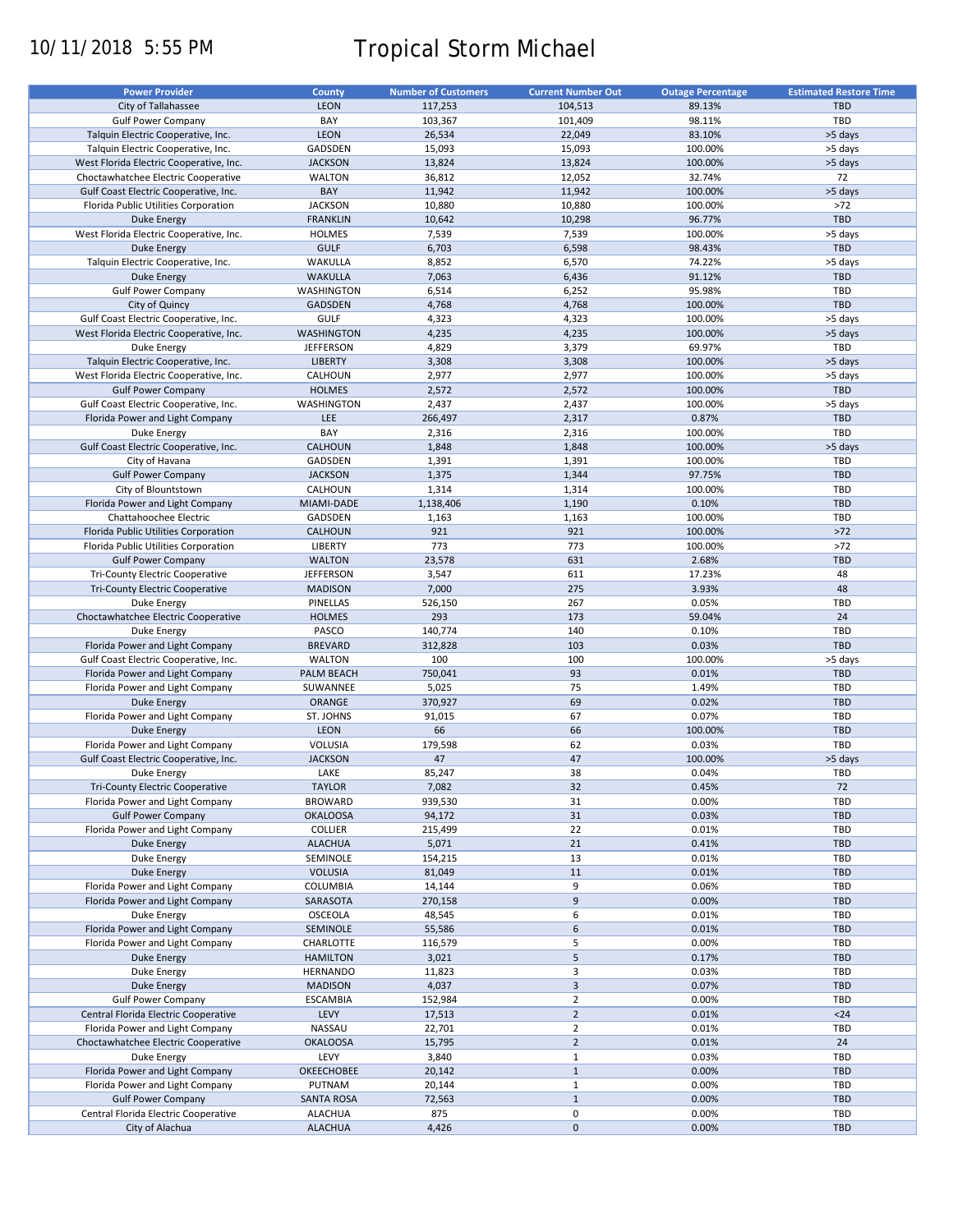# 10/11/2018 5:55 PM Tropical Storm Michael

| <b>Power Provider</b>                   | County            | <b>Number of Customers</b> | <b>Current Number Out</b> | <b>Outage Percentage</b> | <b>Estimated Restore Time</b> |
|-----------------------------------------|-------------------|----------------------------|---------------------------|--------------------------|-------------------------------|
| City of Tallahassee                     | <b>LEON</b>       | 117,253                    | 104,513                   | 89.13%                   | <b>TBD</b>                    |
| <b>Gulf Power Company</b>               | BAY               | 103,367                    | 101,409                   | 98.11%                   | TBD                           |
|                                         |                   |                            |                           |                          |                               |
| Talquin Electric Cooperative, Inc.      | <b>LEON</b>       | 26,534                     | 22,049                    | 83.10%                   | >5 days                       |
| Talquin Electric Cooperative, Inc.      | GADSDEN           | 15,093                     | 15,093                    | 100.00%                  | >5 days                       |
| West Florida Electric Cooperative, Inc. | <b>JACKSON</b>    | 13,824                     | 13,824                    | 100.00%                  | >5 days                       |
| Choctawhatchee Electric Cooperative     | <b>WALTON</b>     | 36,812                     | 12,052                    | 32.74%                   | 72                            |
| Gulf Coast Electric Cooperative, Inc.   | BAY               | 11,942                     | 11,942                    | 100.00%                  | >5 days                       |
| Florida Public Utilities Corporation    | <b>JACKSON</b>    | 10,880                     | 10,880                    | 100.00%                  | $>72$                         |
| Duke Energy                             | <b>FRANKLIN</b>   | 10,642                     | 10,298                    | 96.77%                   | TBD                           |
| West Florida Electric Cooperative, Inc. | <b>HOLMES</b>     | 7,539                      | 7,539                     | 100.00%                  | >5 days                       |
| Duke Energy                             | <b>GULF</b>       | 6,703                      | 6,598                     | 98.43%                   | TBD                           |
|                                         |                   |                            |                           |                          |                               |
| Talquin Electric Cooperative, Inc.      | WAKULLA           | 8,852                      | 6,570                     | 74.22%                   | >5 days                       |
| Duke Energy                             | <b>WAKULLA</b>    | 7,063                      | 6,436                     | 91.12%                   | <b>TBD</b>                    |
| <b>Gulf Power Company</b>               | WASHINGTON        | 6,514                      | 6,252                     | 95.98%                   | TBD                           |
| City of Quincy                          | <b>GADSDEN</b>    | 4,768                      | 4,768                     | 100.00%                  | TBD                           |
| Gulf Coast Electric Cooperative, Inc.   | <b>GULF</b>       | 4,323                      | 4,323                     | 100.00%                  | >5 days                       |
| West Florida Electric Cooperative, Inc. | <b>WASHINGTON</b> | 4,235                      | 4,235                     | 100.00%                  | >5 days                       |
| Duke Energy                             | <b>JEFFERSON</b>  | 4,829                      | 3,379                     | 69.97%                   | TBD                           |
| Talquin Electric Cooperative, Inc.      | <b>LIBERTY</b>    | 3,308                      | 3,308                     | 100.00%                  | >5 days                       |
|                                         |                   |                            |                           |                          |                               |
| West Florida Electric Cooperative, Inc. | CALHOUN           | 2,977                      | 2,977                     | 100.00%                  | >5 days                       |
| <b>Gulf Power Company</b>               | <b>HOLMES</b>     | 2,572                      | 2,572                     | 100.00%                  | TBD                           |
| Gulf Coast Electric Cooperative, Inc.   | WASHINGTON        | 2,437                      | 2,437                     | 100.00%                  | >5 days                       |
| Florida Power and Light Company         | LEE               | 266,497                    | 2,317                     | 0.87%                    | <b>TBD</b>                    |
| Duke Energy                             | BAY               | 2,316                      | 2,316                     | 100.00%                  | TBD                           |
| Gulf Coast Electric Cooperative, Inc.   | CALHOUN           | 1,848                      | 1,848                     | 100.00%                  | >5 days                       |
| City of Havana                          | GADSDEN           | 1,391                      | 1,391                     | 100.00%                  | TBD                           |
|                                         | <b>JACKSON</b>    | 1,375                      | 1,344                     | 97.75%                   | <b>TBD</b>                    |
| <b>Gulf Power Company</b>               |                   |                            |                           |                          |                               |
| City of Blountstown                     | CALHOUN           | 1,314                      | 1,314                     | 100.00%                  | TBD                           |
| Florida Power and Light Company         | MIAMI-DADE        | 1,138,406                  | 1,190                     | 0.10%                    | <b>TBD</b>                    |
| Chattahoochee Electric                  | <b>GADSDEN</b>    | 1,163                      | 1,163                     | 100.00%                  | TBD                           |
| Florida Public Utilities Corporation    | CALHOUN           | 921                        | 921                       | 100.00%                  | $>72$                         |
| Florida Public Utilities Corporation    | <b>LIBERTY</b>    | 773                        | 773                       | 100.00%                  | $>72$                         |
| <b>Gulf Power Company</b>               | <b>WALTON</b>     | 23,578                     | 631                       | 2.68%                    | <b>TBD</b>                    |
| <b>Tri-County Electric Cooperative</b>  | <b>JEFFERSON</b>  | 3,547                      | 611                       | 17.23%                   | 48                            |
|                                         |                   |                            |                           |                          |                               |
| Tri-County Electric Cooperative         | <b>MADISON</b>    | 7,000                      | 275                       | 3.93%                    | 48                            |
| Duke Energy                             | PINELLAS          | 526,150                    | 267                       | 0.05%                    | TBD                           |
| Choctawhatchee Electric Cooperative     | <b>HOLMES</b>     | 293                        | 173                       | 59.04%                   | 24                            |
| Duke Energy                             | PASCO             | 140,774                    | 140                       | 0.10%                    | TBD                           |
| Florida Power and Light Company         | <b>BREVARD</b>    | 312,828                    | 103                       | 0.03%                    | <b>TBD</b>                    |
| Gulf Coast Electric Cooperative, Inc.   | <b>WALTON</b>     | 100                        | 100                       | 100.00%                  | >5 days                       |
| Florida Power and Light Company         | PALM BEACH        | 750,041                    | 93                        | 0.01%                    | <b>TBD</b>                    |
| Florida Power and Light Company         | SUWANNEE          | 5,025                      | 75                        | 1.49%                    | TBD                           |
|                                         |                   |                            | 69                        |                          |                               |
| <b>Duke Energy</b>                      | ORANGE            | 370,927                    |                           | 0.02%                    | <b>TBD</b>                    |
| Florida Power and Light Company         | ST. JOHNS         | 91,015                     | 67                        | 0.07%                    | TBD                           |
| <b>Duke Energy</b>                      | LEON              | 66                         | 66                        | 100.00%                  | <b>TBD</b>                    |
| Florida Power and Light Company         | VOLUSIA           | 179,598                    | 62                        | 0.03%                    | TBD                           |
| Gulf Coast Electric Cooperative, Inc.   | <b>JACKSON</b>    | 47                         | 47                        | 100.00%                  | >5 days                       |
| Duke Energy                             | LAKE              | 85,247                     | 38                        | 0.04%                    | TBD                           |
| Tri-County Electric Cooperative         | <b>TAYLOR</b>     | 7,082                      | 32                        | 0.45%                    | 72                            |
| Florida Power and Light Company         | <b>BROWARD</b>    | 939,530                    | 31                        | 0.00%                    | TBD                           |
|                                         |                   |                            |                           |                          |                               |
| <b>Gulf Power Company</b>               | <b>OKALOOSA</b>   | 94,172                     | 31                        | 0.03%                    | <b>TBD</b>                    |
| Florida Power and Light Company         | <b>COLLIER</b>    | 215,499                    | 22                        | 0.01%                    | TBD                           |
| Duke Energy                             | <b>ALACHUA</b>    | 5,071                      | 21                        | 0.41%                    | <b>TBD</b>                    |
| Duke Energy                             | SEMINOLE          | 154,215                    | 13                        | 0.01%                    | TBD                           |
| <b>Duke Energy</b>                      | <b>VOLUSIA</b>    | 81,049                     | 11                        | 0.01%                    | <b>TBD</b>                    |
| Florida Power and Light Company         | COLUMBIA          | 14,144                     | 9                         | 0.06%                    | TBD                           |
| Florida Power and Light Company         | SARASOTA          | 270,158                    | 9                         | 0.00%                    | <b>TBD</b>                    |
|                                         |                   |                            | 6                         |                          | TBD                           |
| Duke Energy                             | <b>OSCEOLA</b>    | 48,545                     |                           | 0.01%                    |                               |
| Florida Power and Light Company         | SEMINOLE          | 55,586                     | 6                         | 0.01%                    | <b>TBD</b>                    |
| Florida Power and Light Company         | CHARLOTTE         | 116,579                    | 5                         | 0.00%                    | TBD                           |
| Duke Energy                             | <b>HAMILTON</b>   | 3,021                      | 5                         | 0.17%                    | <b>TBD</b>                    |
| Duke Energy                             | <b>HERNANDO</b>   | 11,823                     | 3                         | 0.03%                    | TBD                           |
| Duke Energy                             | <b>MADISON</b>    | 4,037                      | $\overline{\mathbf{3}}$   | 0.07%                    | <b>TBD</b>                    |
| <b>Gulf Power Company</b>               | <b>ESCAMBIA</b>   | 152,984                    | $\overline{2}$            | 0.00%                    | TBD                           |
| Central Florida Electric Cooperative    | LEVY              | 17,513                     | $\overline{2}$            | 0.01%                    | $24$                          |
|                                         |                   |                            | $\overline{2}$            |                          | TBD                           |
| Florida Power and Light Company         | NASSAU            | 22,701                     |                           | 0.01%                    |                               |
| Choctawhatchee Electric Cooperative     | <b>OKALOOSA</b>   | 15,795                     | $\overline{2}$            | 0.01%                    | 24                            |
| Duke Energy                             | LEVY              | 3,840                      | $\mathbf{1}$              | 0.03%                    | TBD                           |
| Florida Power and Light Company         | <b>OKEECHOBEE</b> | 20,142                     | $1\,$                     | 0.00%                    | <b>TBD</b>                    |
| Florida Power and Light Company         | PUTNAM            | 20,144                     | $\mathbf 1$               | 0.00%                    | TBD                           |
| <b>Gulf Power Company</b>               | <b>SANTA ROSA</b> | 72,563                     | $1\,$                     | 0.00%                    | TBD                           |
| Central Florida Electric Cooperative    | <b>ALACHUA</b>    | 875                        | 0                         | 0.00%                    | TBD                           |
| City of Alachua                         | <b>ALACHUA</b>    |                            | $\pmb{0}$                 | 0.00%                    | <b>TBD</b>                    |
|                                         |                   | 4,426                      |                           |                          |                               |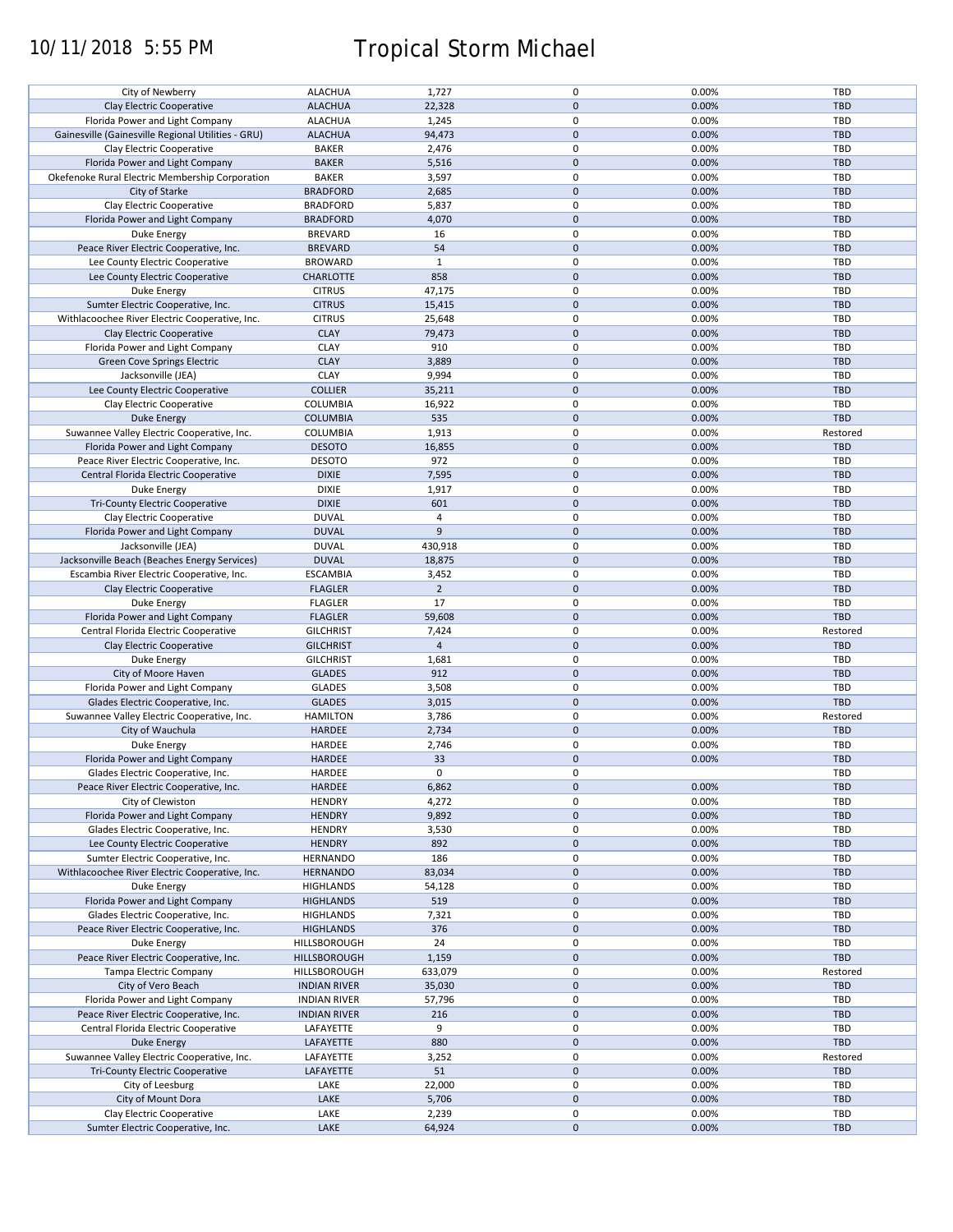# 10/11/2018 5:55 PM Tropical Storm Michael

| City of Newberry                                   | <b>ALACHUA</b>      | 1,727          | 0              | 0.00% | <b>TBD</b> |
|----------------------------------------------------|---------------------|----------------|----------------|-------|------------|
| Clay Electric Cooperative                          | <b>ALACHUA</b>      | 22,328         | $\mathbf 0$    | 0.00% | <b>TBD</b> |
| Florida Power and Light Company                    | <b>ALACHUA</b>      | 1,245          | 0              | 0.00% | TBD        |
| Gainesville (Gainesville Regional Utilities - GRU) | <b>ALACHUA</b>      | 94,473         | $\mathbf 0$    | 0.00% | <b>TBD</b> |
|                                                    |                     |                |                |       |            |
| Clay Electric Cooperative                          | <b>BAKER</b>        | 2,476          | 0              | 0.00% | TBD        |
| Florida Power and Light Company                    | <b>BAKER</b>        | 5,516          | $\pmb{0}$      | 0.00% | <b>TBD</b> |
| Okefenoke Rural Electric Membership Corporation    | <b>BAKER</b>        | 3,597          | 0              | 0.00% | <b>TBD</b> |
| City of Starke                                     | <b>BRADFORD</b>     | 2,685          | $\pmb{0}$      | 0.00% | <b>TBD</b> |
| Clay Electric Cooperative                          | <b>BRADFORD</b>     | 5,837          | $\mathbf 0$    | 0.00% | TBD        |
|                                                    |                     |                |                |       |            |
| Florida Power and Light Company                    | <b>BRADFORD</b>     | 4,070          | $\pmb{0}$      | 0.00% | <b>TBD</b> |
| Duke Energy                                        | <b>BREVARD</b>      | 16             | 0              | 0.00% | <b>TBD</b> |
| Peace River Electric Cooperative, Inc.             | <b>BREVARD</b>      | 54             | $\pmb{0}$      | 0.00% | <b>TBD</b> |
| Lee County Electric Cooperative                    | <b>BROWARD</b>      | $\mathbf{1}$   | 0              | 0.00% | <b>TBD</b> |
| Lee County Electric Cooperative                    | <b>CHARLOTTE</b>    | 858            | $\pmb{0}$      | 0.00% | <b>TBD</b> |
|                                                    |                     |                |                |       |            |
| Duke Energy                                        | <b>CITRUS</b>       | 47,175         | 0              | 0.00% | TBD        |
| Sumter Electric Cooperative, Inc.                  | <b>CITRUS</b>       | 15,415         | $\mathbf 0$    | 0.00% | <b>TBD</b> |
| Withlacoochee River Electric Cooperative, Inc.     | <b>CITRUS</b>       | 25,648         | 0              | 0.00% | <b>TBD</b> |
| Clay Electric Cooperative                          | <b>CLAY</b>         | 79,473         | $\mathbf 0$    | 0.00% | <b>TBD</b> |
|                                                    |                     |                | $\mathbf 0$    |       |            |
| Florida Power and Light Company                    | <b>CLAY</b>         | 910            |                | 0.00% | TBD        |
| Green Cove Springs Electric                        | <b>CLAY</b>         | 3,889          | $\pmb{0}$      | 0.00% | <b>TBD</b> |
| Jacksonville (JEA)                                 | <b>CLAY</b>         | 9,994          | 0              | 0.00% | TBD        |
| Lee County Electric Cooperative                    | <b>COLLIER</b>      | 35,211         | $\pmb{0}$      | 0.00% | <b>TBD</b> |
| Clay Electric Cooperative                          | <b>COLUMBIA</b>     | 16,922         | 0              | 0.00% | TBD        |
|                                                    |                     |                |                |       |            |
| <b>Duke Energy</b>                                 | <b>COLUMBIA</b>     | 535            | $\pmb{0}$      | 0.00% | <b>TBD</b> |
| Suwannee Valley Electric Cooperative, Inc.         | COLUMBIA            | 1,913          | 0              | 0.00% | Restored   |
| Florida Power and Light Company                    | <b>DESOTO</b>       | 16,855         | $\mathbf 0$    | 0.00% | <b>TBD</b> |
| Peace River Electric Cooperative, Inc.             | <b>DESOTO</b>       | 972            | 0              | 0.00% | <b>TBD</b> |
|                                                    |                     |                |                |       |            |
| Central Florida Electric Cooperative               | <b>DIXIE</b>        | 7,595          | $\mathbf 0$    | 0.00% | <b>TBD</b> |
| Duke Energy                                        | <b>DIXIE</b>        | 1,917          | 0              | 0.00% | TBD        |
| Tri-County Electric Cooperative                    | <b>DIXIE</b>        | 601            | $\pmb{0}$      | 0.00% | <b>TBD</b> |
| Clay Electric Cooperative                          | <b>DUVAL</b>        | $\overline{4}$ | 0              | 0.00% | TBD        |
|                                                    |                     | 9              | $\pmb{0}$      |       |            |
| Florida Power and Light Company                    | <b>DUVAL</b>        |                |                | 0.00% | <b>TBD</b> |
| Jacksonville (JEA)                                 | <b>DUVAL</b>        | 430,918        | $\mathbf 0$    | 0.00% | TBD        |
| Jacksonville Beach (Beaches Energy Services)       | <b>DUVAL</b>        | 18,875         | $\pmb{0}$      | 0.00% | <b>TBD</b> |
| Escambia River Electric Cooperative, Inc.          | <b>ESCAMBIA</b>     | 3,452          | $\mathbf 0$    | 0.00% | TBD        |
|                                                    |                     | $\overline{2}$ | $\mathbf 0$    |       |            |
| Clay Electric Cooperative                          | <b>FLAGLER</b>      |                |                | 0.00% | <b>TBD</b> |
| Duke Energy                                        | <b>FLAGLER</b>      | 17             | $\mathbf 0$    | 0.00% | <b>TBD</b> |
| Florida Power and Light Company                    | <b>FLAGLER</b>      | 59,608         | $\pmb{0}$      | 0.00% | <b>TBD</b> |
| Central Florida Electric Cooperative               | <b>GILCHRIST</b>    | 7,424          | 0              | 0.00% | Restored   |
| Clay Electric Cooperative                          | <b>GILCHRIST</b>    | $\overline{4}$ | $\pmb{0}$      | 0.00% | <b>TBD</b> |
|                                                    |                     |                |                |       |            |
| Duke Energy                                        | <b>GILCHRIST</b>    | 1,681          | 0              | 0.00% | TBD        |
| City of Moore Haven                                | <b>GLADES</b>       | 912            | $\overline{0}$ | 0.00% | <b>TBD</b> |
| Florida Power and Light Company                    | <b>GLADES</b>       | 3,508          | 0              | 0.00% | TBD        |
| Glades Electric Cooperative, Inc.                  | <b>GLADES</b>       | 3,015          | $\mathbf 0$    | 0.00% | <b>TBD</b> |
|                                                    |                     |                |                |       |            |
| Suwannee Valley Electric Cooperative, Inc.         | <b>HAMILTON</b>     | 3,786          | $\mathbf 0$    | 0.00% | Restored   |
| City of Wauchula                                   | <b>HARDEE</b>       | 2,734          | $\mathbf 0$    | 0.00% | <b>TBD</b> |
| Duke Energy                                        | HARDEE              | 2,746          | 0              | 0.00% | TBD        |
| Florida Power and Light Company                    | <b>HARDEE</b>       | 33             | $\mathbf 0$    | 0.00% | <b>TBD</b> |
|                                                    |                     |                |                |       |            |
| Glades Electric Cooperative, Inc.                  | HARDEE              | $\mathbf 0$    | 0              |       | TBD        |
| Peace River Electric Cooperative, Inc.             | HARDEE              | 6,862          | $\pmb{0}$      | 0.00% | TBD        |
| City of Clewiston                                  | <b>HENDRY</b>       | 4,272          | 0              | 0.00% | TBD        |
| Florida Power and Light Company                    | <b>HENDRY</b>       | 9,892          | $\mathbf 0$    | 0.00% | <b>TBD</b> |
| Glades Electric Cooperative, Inc.                  | <b>HENDRY</b>       |                | 0              | 0.00% | TBD        |
|                                                    |                     | 3,530          |                |       |            |
| Lee County Electric Cooperative                    | <b>HENDRY</b>       | 892            | $\pmb{0}$      | 0.00% | <b>TBD</b> |
| Sumter Electric Cooperative, Inc.                  | <b>HERNANDO</b>     | 186            | 0              | 0.00% | TBD        |
| Withlacoochee River Electric Cooperative, Inc.     | <b>HERNANDO</b>     | 83,034         | $\pmb{0}$      | 0.00% | <b>TBD</b> |
|                                                    | <b>HIGHLANDS</b>    | 54,128         | $\pmb{0}$      | 0.00% | TBD        |
| Duke Energy                                        |                     |                |                |       |            |
| Florida Power and Light Company                    | <b>HIGHLANDS</b>    | 519            | $\pmb{0}$      | 0.00% | <b>TBD</b> |
| Glades Electric Cooperative, Inc.                  | HIGHLANDS           | 7,321          | 0              | 0.00% | TBD        |
| Peace River Electric Cooperative, Inc.             | <b>HIGHLANDS</b>    | 376            | $\pmb{0}$      | 0.00% | TBD        |
| Duke Energy                                        | HILLSBOROUGH        | 24             | 0              | 0.00% | TBD        |
|                                                    |                     |                |                |       |            |
| Peace River Electric Cooperative, Inc.             | HILLSBOROUGH        | 1,159          | $\pmb{0}$      | 0.00% | <b>TBD</b> |
| Tampa Electric Company                             | HILLSBOROUGH        | 633,079        | 0              | 0.00% | Restored   |
| City of Vero Beach                                 | <b>INDIAN RIVER</b> | 35,030         | $\pmb{0}$      | 0.00% | TBD        |
| Florida Power and Light Company                    | <b>INDIAN RIVER</b> | 57,796         | 0              | 0.00% | TBD        |
| Peace River Electric Cooperative, Inc.             | <b>INDIAN RIVER</b> |                | $\pmb{0}$      | 0.00% | TBD        |
|                                                    |                     | 216            |                |       |            |
| Central Florida Electric Cooperative               | LAFAYETTE           | 9              | 0              | 0.00% | <b>TBD</b> |
| Duke Energy                                        | LAFAYETTE           | 880            | $\pmb{0}$      | 0.00% | TBD        |
| Suwannee Valley Electric Cooperative, Inc.         | LAFAYETTE           | 3,252          | 0              | 0.00% | Restored   |
| Tri-County Electric Cooperative                    | LAFAYETTE           | 51             | $\pmb{0}$      | 0.00% | <b>TBD</b> |
|                                                    |                     |                |                |       |            |
| City of Leesburg                                   | LAKE                | 22,000         | 0              | 0.00% | <b>TBD</b> |
| City of Mount Dora                                 | LAKE                | 5,706          | $\pmb{0}$      | 0.00% | <b>TBD</b> |
| Clay Electric Cooperative                          | LAKE                | 2,239          | 0              | 0.00% | TBD        |
| Sumter Electric Cooperative, Inc.                  | LAKE                | 64,924         | $\pmb{0}$      | 0.00% | <b>TBD</b> |
|                                                    |                     |                |                |       |            |